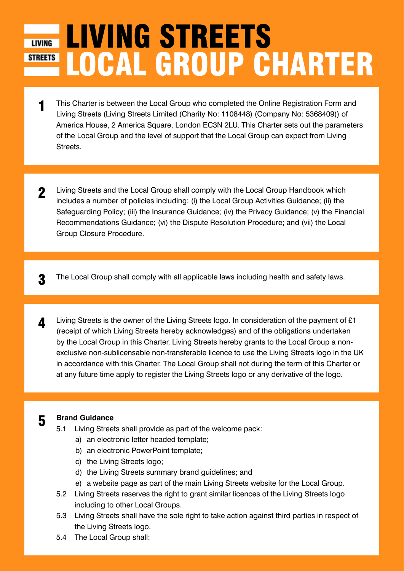# LIVING STREETS LOCAL GROUP CHARTER **STREETS**

- 1 This Charter is between the Local Group who completed the Online Registration Form and Living Streets (Living Streets Limited (Charity No: 1108448) (Company No: 5368409)) of America House, 2 America Square, London EC3N 2LU. This Charter sets out the parameters of the Local Group and the level of support that the Local Group can expect from Living Streets.
- 2 Living Streets and the Local Group shall comply with the Local Group Handbook which includes a number of policies including: (i) the Local Group Activities Guidance; (ii) the Safeguarding Policy; (iii) the Insurance Guidance; (iv) the Privacy Guidance; (v) the Financial Recommendations Guidance; (vi) the Dispute Resolution Procedure; and (vii) the Local Group Closure Procedure.

**3** The Local Group shall comply with all applicable laws including health and safety laws.

**4** Living Streets is the owner of the Living Streets logo. In consideration of the payment of £1 (receipt of which Living Streets hereby acknowledges) and of the obligations undertaken by the Local Group in this Charter, Living Streets hereby grants to the Local Group a nonexclusive non-sublicensable non-transferable licence to use the Living Streets logo in the UK in accordance with this Charter. The Local Group shall not during the term of this Charter or at any future time apply to register the Living Streets logo or any derivative of the logo.

#### 5 **Brand Guidance**

- 5.1 Living Streets shall provide as part of the welcome pack:
	- a) an electronic letter headed template;
	- b) an electronic PowerPoint template;
	- c) the Living Streets logo;
	- d) the Living Streets summary brand guidelines; and
	- e) a website page as part of the main Living Streets website for the Local Group.
- 5.2 Living Streets reserves the right to grant similar licences of the Living Streets logo including to other Local Groups.
- 5.3 Living Streets shall have the sole right to take action against third parties in respect of the Living Streets logo.
- 5.4 The Local Group shall: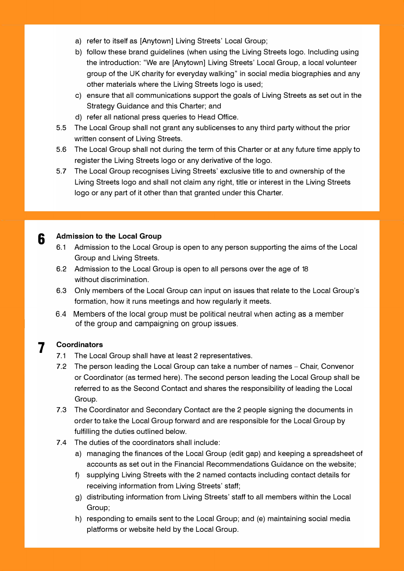- a) refer to itself as [Anytown] Living Streets' Local Group;
- b) follow these brand guidelines (when using the Living Streets logo. Including using the introduction: "We are [Anytown] Living Streets' Local Group, a local volunteer group of the UK charity for everyday walking" in social media biographies and any other materials where the Living Streets logo is used;
- c) ensure that all communications support the goals of Living Streets as set out in the Strategy Guidance and this Charter; and
- d) refer all national press queries to Head Office.
- 5.5 The Local Group shall not grant any sublicenses to any third party without the prior written consent of Living Streets.
- 5.6 The Local Group shall not during the term of this Charter or at any future time apply to register the Living Streets logo or any derivative of the logo.
- 5.7 The Local Group recognises Living Streets' exclusive title to and ownership of the Living Streets logo and shall not claim any right, title or interest in the Living Streets logo or any part of it other than that granted under this Charter.

#### **Admission to the Local Group**

- 6.1 Admission to the Local Group is open to any person supporting the aims of the Local Group and Living Streets.
- 6.2 Admission to the Local Group is open to all persons over the age of 18 without discrimination.
- 6.3 Only members of the Local Group can input on issues that relate to the Local Group's formation, how it runs meetings and how regularly it meets.
- 6.4 Members of the local group must be political neutral when acting as a member of the group and campaigning on group issues.

#### **7 Coordinators**

**6** 

- 7.1 The Local Group shall have at least 2 representatives.
- 7.2 The person leading the Local Group can take a number of names Chair, Convenor or Coordinator (as termed here). The second person leading the Local Group shall be referred to as the Second Contact and shares the responsibility of leading the Local Group.
- 7.3 The Coordinator and Secondary Contact are the 2 people signing the documents in order to take the Local Group forward and are responsible for the Local Group by fulfilling the duties outlined below.
- 7.4 The duties of the coordinators shall include:
	- a) managing the finances of the Local Group (edit gap) and keeping a spreadsheet of accounts as set out in the Financial Recommendations Guidance on the website;
	- f) supplying Living Streets with the 2 named contacts including contact details for receiving information from Living Streets' staff;
	- g) distributing information from Living Streets' staff to all members within the Local Group;
	- h) responding to emails sent to the Local Group; and (e) maintaining social media platforms or website held by the Local Group.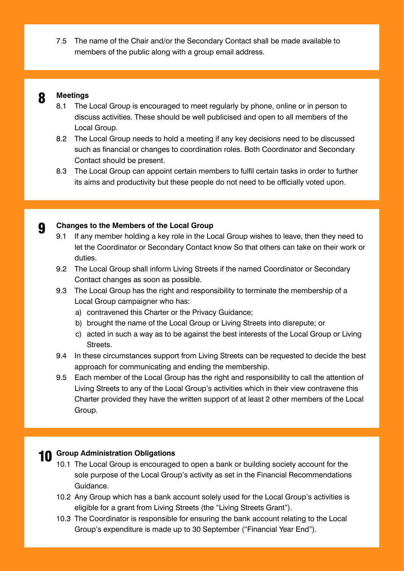7.5 The name of the Chair and/or the Secondary Contact shall be made available to members of the public along with a group email address.



#### 8 **Meetings**

- 8.1 The Local Group is encouraged to meet regularly by phone, online or in person to discuss activities. These should be well publicised and open to all members of the Local Group.
- 8.2 The Local Group needs to hold a meeting if any key decisions need to be discussed such as financial or changes to coordination roles. Both Coordinator and Secondary Contact should be present.
- 8.3 The Local Group can appoint certain members to fulfil certain tasks in order to further its aims and productivity but these people do not need to be officially voted upon.

## **9 Changes to the Members of the Local Group**<br>9.1 If any member holding a key role in the Lo

- If any member holding a key role in the Local Group wishes to leave, then they need to let the Coordinator or Secondary Contact know So that others can take on their work or duties.
- 9.2 The Local Group shall inform Living Streets if the named Coordinator or Secondary Contact changes as soon as possible.
- 9.3 The Local Group has the right and responsibility to terminate the membership of a Local Group campaigner who has:
	- a) contravened this Charter or the Privacy Guidance;
	- b) brought the name of the Local Group or Living Streets into disrepute; or
	- c) acted in such a way as to be against the best interests of the Local Group or Living Streets.
- 9.4 In these circumstances support from Living Streets can be requested to decide the best approach for communicating and ending the membership.
- 9.5 Each member of the Local Group has the right and responsibility to call the attention of Living Streets to any of the Local Group's activities which in their view contravene this Charter provided they have the written support of at least 2 other members of the Local Group.

## 10 **Group Administration Obligations**

- 10.1 The Local Group is encouraged to open a bank or building society account for the sole purpose of the Local Group's activity as set in the Financial Recommendations Guidance.
- 10.2 Any Group which has a bank account solely used for the Local Group's activities is eligible for a grant from Living Streets (the "Living Streets Grant").
- 10.3 The Coordinator is responsible for ensuring the bank account relating to the Local Group's expenditure is made up to 30 September ("Financial Year End").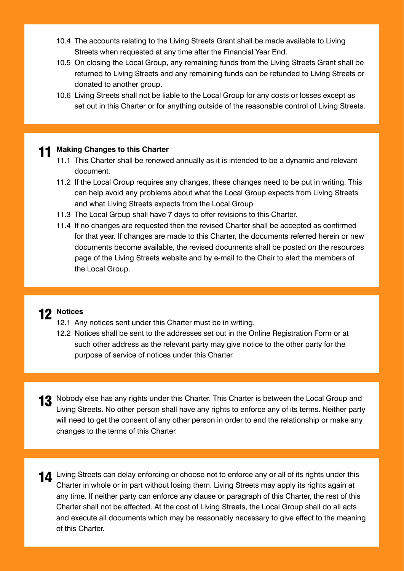- 10.4 The accounts relating to the Living Streets Grant shall be made available to Living Streets when requested at any time after the Financial Year End.
- 10.5 On closing the Local Group, any remaining funds from the Living Streets Grant shall be returned to Living Streets and any remaining funds can be refunded to Living Streets or donated to another group.
- 10.6 Living Streets shall not be liable to the Local Group for any costs or losses except as set out in this Charter or for anything outside of the reasonable control of Living Streets.

#### 11 **Making Changes to this Charter**

- 11.1 This Charter shall be renewed annually as it is intended to be a dynamic and relevant document.
- 11.2 If the Local Group requires any changes, these changes need to be put in writing. This can help avoid any problems about what the Local Group expects from Living Streets and what Living Streets expects from the Local Group
- 11.3 The Local Group shall have 7 days to offer revisions to this Charter.
- 11.4 If no changes are requested then the revised Charter shall be accepted as confirmed for that year. If changes are made to this Charter, the documents referred herein or new documents become available, the revised documents shall be posted on the resources page of the Living Streets website and by e-mail to the Chair to alert the members of the Local Group.

## 12 **Notices**

- 12.1 Any notices sent under this Charter must be in writing.
- 12.2 Notices shall be sent to the addresses set out in the Online Registration Form or at such other address as the relevant party may give notice to the other party for the purpose of service of notices under this Charter.
- 13 Nobody else has any rights under this Charter. This Charter is between the Local Group and Living Streets. No other person shall have any rights to enforce any of its terms. Neither party will need to get the consent of any other person in order to end the relationship or make any changes to the terms of this Charter.
- 11 Living Streets can delay enforcing or choose not to enforce any or all of its rights under this Charter in whole or in part without losing them. Living Streets may apply its rights again at any time. If neither party can enforce any clause or paragraph of this Charter, the rest of this Charter shall not be affected. At the cost of Living Streets, the Local Group shall do all acts and execute all documents which may be reasonably necessary to give effect to the meaning of this Charter.